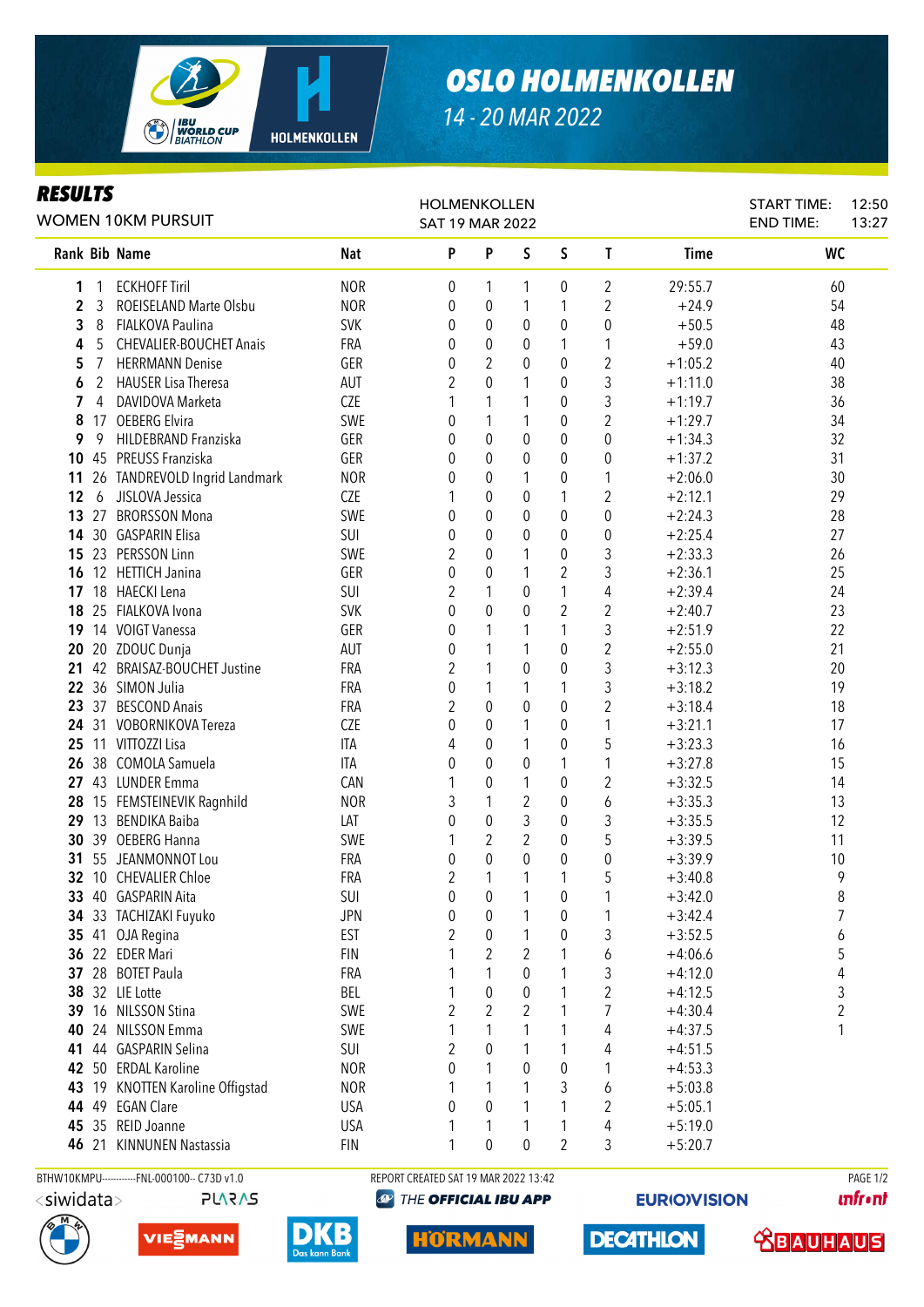

## *OSLO HOLMENKOLLEN*

*14 - 20 MAR 2022*

## Rank Bib Name Nat Nat P P S S T Time NC NC 1 1 ECKHOFF Tiril 1 2 29:55.7 60 **2** 3 ROEISELAND Marte Olsbu NOR 0 0 1 1 2  $+24.9$  54 **3** 8 FIALKOVA Paulina **3** SVK 0 0 0 0 0 0 +50.5 48 4 5 CHEVALIER-BOUCHET Anais FRA 0 0 0 1 1 +59.0 43 5 7 HERRMANN Denise GER 0 2 0 0 2 +1:05.2 40 **6** 2 HAUSER Lisa Theresa **AUT** 2 0 1 0 3 +1:11.0 38 **7** 4 DAVIDOVA Marketa **CZE** 1 1 1 0 3 +1:19.7 36 8 17 OEBERG Elvira SWE 0 1 1 0 2 +1:29.7 34 **9** 9 HIIDEBRAND Franziska GER 0 0 0 0 0 +1:34.3 32 10 45 PREUSS Franziska GER 0 0 0 0 0 +1:37.2 31 11 26 TANDREVOLD Ingrid Landmark MOR 0 0 1 0 1 +2:06.0 30 12 6 JISLOVA Jessica CZE 1 0 0 1 2 +2:12.1 29 13 27 BRORSSON Mona 5WE 0 0 0 0 0 +2:24.3 28 14 30 GASPARIN Elisa SUI 0 0 0 0 0 +2:25.4 27 15 23 PERSSON Linn **SWE 2 0 1 0 3 +2:33.3** 26 16 12 HETTICH Janina **GER** 0 0 1 2 3 +2:36.1 25 17 18 HAFCKI Lena (30 1 2 1 2 1 2 1 2 1 2 1 2 1 2 1 2 1 2 2 1 2 2 1 2 2 1 2 2 1 2 2 1 2 2 1 2 2 1 2 1 2 1 2 1 2 1 2 1 2 1 2 1 2 1 2 1 2 1 2 1 2 1 2 1 2 1 2 1 2 1 2 1 2 1 2 1 2 1 2 1 2 1 2 1 2 1 2 1 2 1 2 1 2 1 2 1 2 1 2 1 18 25 FIALKOVA Ivona SVK 0 0 0 2 2 +2:40.7 23 19 14 VOIGT Vanessa GER 0 1 1 1 3 +2:51.9 22 **20** 20 ZDOUC Dunia **AUT** 0 1 1 0 2 +2:55.0 21 21 42 BRAISAZ-BOUCHET Justine FRA 2 1 0 0 3 +3:12.3 20 **22** 36 SIMON Julia **1988 CONTRES CONTRA CONTRES** 1.1 1 1 1 3 +3:18.2 19 23 37 BESCOND Anais **FRA** 2 0 0 0 2 +3:18.4 18 **24** 31 VOBORNIKOVA Tereza CZE 0 0 0 1 0 1 +3:21.1 17 25 11 VITTOZZI Lisa ITA 4 0 1 0 5 +3:23.3 16 **26** 38 COMOLA Samuela **ITA** 0 0 0 1 1 +3:27.8 15 27 43 LUNDER Emma CAN 1 0 1 0 2 +3:32.5 14 28 15 FEMSTEINEVIK Ragnhild MOR 3 1 2 0 6 +3:35.3 13 29 13 BENDIKA Baiba LAT 0 0 3 0 3 +3:35.5 12 **30** 39 OEBERG Hanna **SWE** 1 2 2 0 5 +3:39.5 11 **31** 55 JEANMONNOT Lou **FRA** 0 0 0 0 0 0 +3:39.9 10 **32** 10 CHEVALIER Chloe **FRA** 2 1 1 1 5 +3:40.8 9 33 40 GASPARIN Aita **SUI 0 0 1 0 1** +3:42.0 8 34 33 TACHIZAKI Fuyuko JPN 0 0 1 0 1 +3:42.4 7 35 41 OJA Regina EST 2 0 1 0 3 +3:52.5 6 **36** 22 EDER Mari **FIN 1 2 2 1 6 +4:06.6** 5 *RESULTS* WOMEN 10KM PURSUIT HOLMENKOLLEN SAT 19 MAR 2022 START TIME: END TIME: 12:50 13:27

46 21 KINNUNEN Nastassia FIN 1 0 0 2 3 +5:20.7 BTHW10KMPU------------FNL-000100-- C73D v1.0 REPORT CREATED SAT 19 MAR 2022 13:42 PAGE 1/2 $\langle$ siwidata $>$ **PLARAS** 



HORMANN

 28 BOTET Paula **FRA** 1 1 0 1 3 +4:12.0 4 32 LIE Lotte **BEL 1** 0 0 1 2 +4:12.5 3 16 NILSSON Stina **SWE** 2 2 2 1 7 +4:30.4 2 24 NILSSON Emma SWE 1 1 1 1 4 +4:37.5 1

 44 GASPARIN Selina SUI 2 0 1 1 4 +4:51.5 50 ERDAL Karoline **NOR** 0 1 0 0 1 +4:53.3 43 19 KNOTTEN Karoline Offigstad MOR 1 1 1 3 6 +5:03.8 49 EGAN Clare USA 0 0 1 1 2 +5:05.1 35 REID Joanne USA 1 1 1 1 4 +5:19.0

**@ THE OFFICIAL IBU APP** 

**EURIOVISION** 

**unfront**